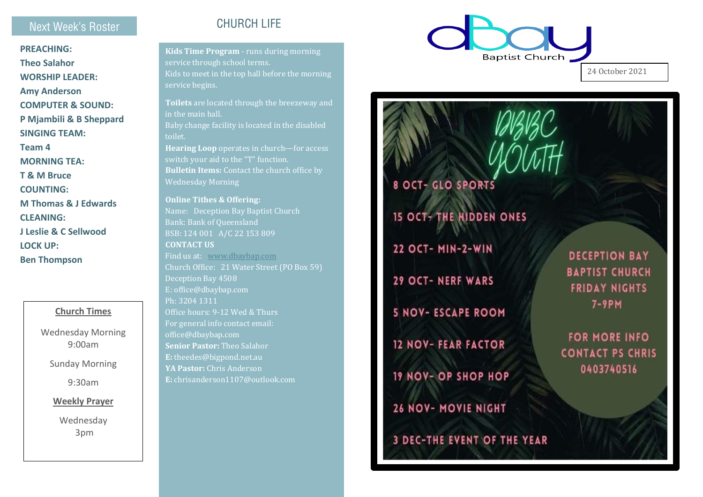### Next Week's Roster

**PREACHING: Theo Salahor WORSHIP LEADER: Amy Anderson COMPUTER & SOUND: P Mjambili & B Sheppard SINGING TEAM: Team 4 MORNING TEA: T & M Bruce COUNTING : M Thomas & J Edwards CLEANING: J Leslie & C Sellwood LOCK UP: Ben Thompson**

#### **Church Times**

Wednesday Morning 9:00am

Sunday Morning

9:30am

**Weekly Prayer**

Wednesday 3pm

## CHURCH LIFE

**Kids Time Program** - runs during morning service through school terms. Kids to meet in the top hall before the morning service begins.

**Toilets** are located through the breezeway and in the main hall. Baby change facility is located in the disabled toilet. **Hearing Loop** operates in church —for access switch your aid to the "T" function. **Bulletin Items:** Contact the church office by Wednesday Morning **Online Tithes & Offering:** 

Name: Deception Bay Baptist Church Bank: Bank of Queensland BSB: 124 001 A/C 22 153 809 **CONTACT US**  Find us at: [www.dbaybap.com](http://www.dbaybap.com/) Deception Bay 4508 E: office@dbaybap.com Ph: 3204 1311 Office hours: 9 -12 Wed & Thurs For general info contact email: office@dbaybap.com **Senior Pastor:** Theo Salahor **E:** theedes@bigpond.net.au **YA Pastor:** Chris Anderson **E:** chrisanderson1107@outlook.com



24 October 2021

# **8 OCT- GLO SPORTS**

**15 OCT- THE HIDDEN ONES** 

**22 OCT- MIN-2-WIN** 

**29 OCT- NERF WARS** 

**5 NOV- ESCAPE ROOM** 

**12 NOV- FEAR FACTOR** 

**19 NOV- OP SHOP HOP** 

**26 NOV- MOVIE NIGHT** 

**3 DEC-THE EVENT OF THE YEAR** 

**DECEPTION BAY BAPTIST CHURCH FRIDAY NIGHTS**  $7-9PH$ 

**FOR MORE INFO CONTACT PS CHRIS** 0403740516